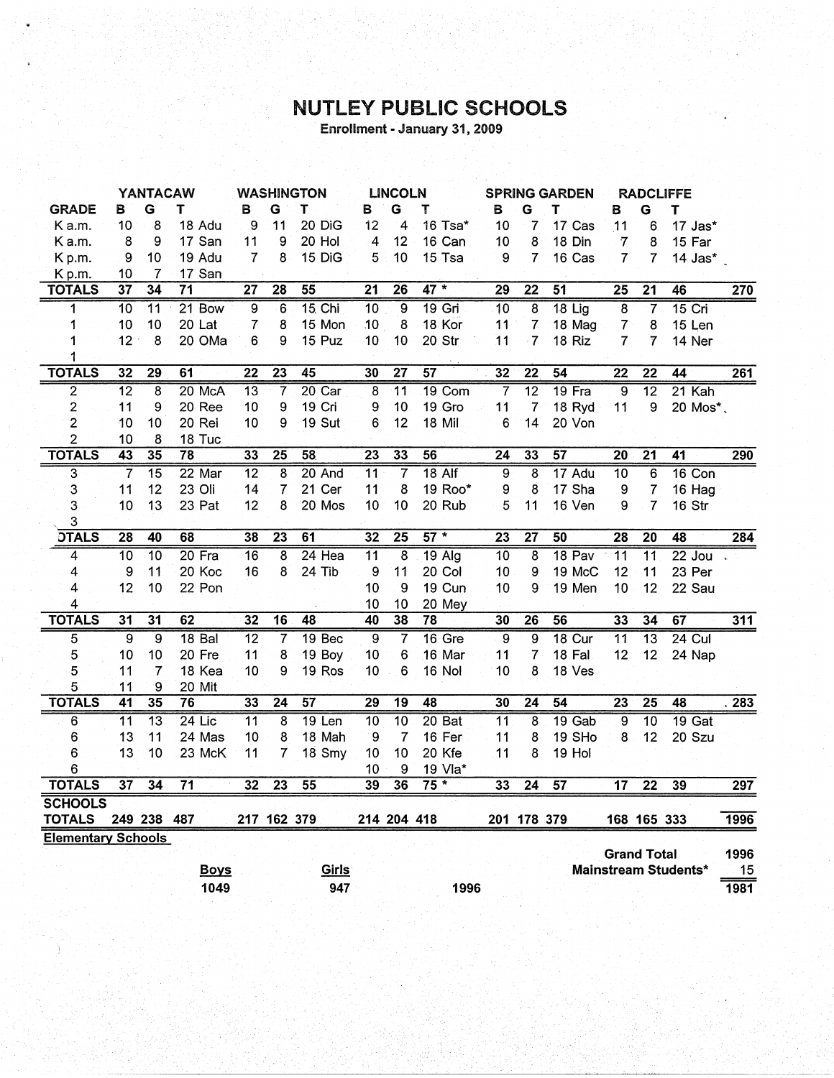## NUTLEY PUBLIC SCHOOLS

Enrollment - January 31, 2009

|                           | <b>YANTACAW</b> |                    | <b>WASHINGTON</b> |                 |                 | <b>LINCOLN</b>  |                         | <b>SPRING GARDEN</b> |                 |                 | <b>RADCLIFFE</b>         |                 |                 |                    |                      |                  |
|---------------------------|-----------------|--------------------|-------------------|-----------------|-----------------|-----------------|-------------------------|----------------------|-----------------|-----------------|--------------------------|-----------------|-----------------|--------------------|----------------------|------------------|
| <b>GRADE</b>              | в               | G                  | т                 | в               | G               | т               | в                       | G                    | Т               | в               | G                        | т               | в               | G                  | Τ                    |                  |
| K a.m.                    | 10              | 8                  | 18 Adu            | 9               | 11              | 20 DiG          | 12                      | 4                    | 16 Tsa*         | 10              | 7                        | 17 Cas          | 11              | 6                  | 17 Jas*              |                  |
| K a.m.                    | 8               | 9                  | 17 San            | 11              | 9               | 20 Hol          | 4                       | 12                   | 16 Can          | 10              | 8                        | 18 Din          | $\overline{7}$  | 8                  | 15 Far               |                  |
| Kp.m.                     | 9               | 10                 | 19 Adu            | $\overline{7}$  | 8               | 15 DiG          | 5                       | 10                   | 15 Tsa          | 9               | $\overline{7}$           | 16 Cas          | $\overline{7}$  | $\mathbf{7}$       | 14 Jas*              |                  |
| Kp.m.                     | 10              | 7                  | 17 San            |                 |                 |                 |                         |                      |                 |                 |                          |                 |                 |                    |                      |                  |
| <b>TOTALS</b>             | $\overline{37}$ | 34                 | $\overline{71}$   | 27              | $\overline{28}$ | 55              | $\overline{21}$         | $\overline{26}$      | $47 *$          | $\overline{29}$ | $\overline{22}$          | 51              | $\overline{25}$ | $\overline{21}$    | 46                   | $\overline{270}$ |
| 1                         | $\overline{10}$ | $\overline{11}$    | 21 Bow            | $\overline{9}$  | $\overline{6}$  | <b>15. Chi</b>  | $\overline{10}$         | $\overline{9}$       | $19$ Gri        | $\overline{10}$ | 8                        | $18$ Lig        | $\overline{8}$  |                    | $15$ Cri             |                  |
| 1                         | 10              | 10                 | 20 Lat            | $\overline{7}$  | 8               | 15 Mon          | 10                      | 8                    | 18 Kor          | 11              | $\overline{\mathcal{L}}$ | 18 Mag          | $\overline{7}$  | 8                  | 15 Len               |                  |
| 1                         | 12              | 8                  | 20 OMa            | 6               | 9               | 15 Puz          | 10                      | 10                   | 20 Str          | 11              | $\cdot$ 7.               | 18 Riz          | 7               | $\overline{7}$     | 14 Ner               |                  |
| 1                         |                 |                    |                   |                 |                 |                 |                         |                      |                 |                 |                          |                 |                 |                    |                      |                  |
| <b>TOTALS</b>             | 32              | 29                 | 61                | 22              | $\overline{23}$ | 45              | 30                      | 27                   | 57              | 32              | $\overline{22}$          | 54              | $\overline{22}$ | $\overline{22}$    | 44                   | 261              |
| $\overline{2}$            | $\overline{12}$ | $\overline{\bf 8}$ | 20 McA            | $\overline{13}$ | 7               | $20$ Car        | $\overline{\mathbf{8}}$ | $\overline{11}$      | $19$ Com        | 7               | $\overline{12}$          | 19 Fra          | $\overline{9}$  | $\overline{12}$    | $21$ Kah             |                  |
| 2                         | 11              | 9                  | 20 Ree            | 10              | 9               | 19 Cri          | 9                       | 10                   | 19 Gro          | 11              | 7                        | 18 Ryd          | 11              | 9                  | 20 Mos*,             |                  |
| $\overline{c}$            | 10              | 10                 | 20 Rei            | 10              | 9               | 19 Sut          | 6                       | 12                   | 18 Mil          | 6               | 14                       | 20 Von          |                 |                    |                      |                  |
| $\overline{\mathbf{c}}$   | 10              | 8                  | 18 Tuc            |                 |                 |                 |                         |                      |                 |                 |                          |                 |                 |                    |                      |                  |
| <b>TOTALS</b>             | $\overline{43}$ | $\overline{35}$    | $\overline{78}$   | 33              | $\overline{25}$ | 58              | $\overline{23}$         | $\overline{33}$      | 56              | $\overline{24}$ | 33                       | 57              | $\overline{20}$ | $\overline{21}$    | $\overline{41}$      | 290              |
| $\overline{\mathbf{3}}$   | $\overline{7}$  | $\overline{15}$    | 22 Mar            | $\overline{12}$ | 8               | 20 And          | $\overline{11}$         | 7                    | $18$ Alf        | 9               | 8                        | 17 Adu          | 10              | 6                  | 16 Con               |                  |
| 3                         | 11              | 12                 | 23 Oli            | 14              | 7               | 21 Cer          | 11                      | 8                    | 19 Roo*         | 9               | 8                        | 17 Sha          | 9               | 7                  | 16 Hag               |                  |
| 3                         | 10              | 13                 | 23 Pat            | 12              | 8               | 20 Mos          | 10                      | 10                   | 20 Rub          | 5               | 11                       | 16 Ven          | 9               | $\overline{7}$     | 16 Str               |                  |
| 3                         |                 |                    |                   |                 |                 |                 |                         |                      |                 |                 |                          |                 |                 |                    |                      |                  |
| <b>DTALS</b>              | $\overline{28}$ | 40                 | 68                | 38              | $\overline{23}$ | 61              | $\overline{32}$         | $\overline{25}$      | $57 *$          | 23              | 27                       | 50              | 28              | 20                 | 48                   | 284              |
| 4                         | 10              | $\overline{10}$    | $20$ Fra          | 16              | 8               | $24$ Hea        | $\overline{11}$         | $\overline{8}$       | $19$ Alg        | 10              | 8                        | 18 Pav          | $\overline{11}$ | $\overline{11}$    | $22$ Jou             |                  |
| 4                         | 9               | 11                 | 20 Koc            | 16              | 8               | 24 Tib          | 9                       | 11                   | 20 Col          | 10              | 9                        | 19 McC          | 12              | 11                 | 23 Per               |                  |
| 4                         | 12              | 10                 | 22 Pon            |                 |                 |                 | 10                      | 9                    | 19 Cun          | 10              | 9                        | 19 Men          | 10              | 12                 | 22 Sau               |                  |
| 4                         |                 |                    |                   |                 |                 |                 | 10                      | 10                   | 20 Mey          |                 |                          |                 |                 |                    |                      |                  |
| <b>TOTALS</b>             | $\overline{31}$ | $\overline{31}$    | 62                | $\overline{32}$ | $\overline{16}$ | $\overline{48}$ | 40                      | $\overline{38}$      | 78              | 30              | 26                       | 56              | 33              | 34                 | 67                   | $\overline{311}$ |
| 5                         | $\overline{9}$  | $\overline{9}$     | 18 Bal            | $\overline{12}$ | $\overline{7}$  | 19 Bec          | $\overline{9}$          | 7                    | 16 Gre          | 9               | $\overline{9}$           | $18$ Cur        | $\overline{11}$ | $\overline{13}$    | $24$ Cul             |                  |
| 5                         | 10              | 10                 | 20 Fre            | 11              | 8               | 19 Boy          | 10                      | 6                    | 16 Mar          | 11              | $\overline{7}$           | 18 Fal          | 12              | 12                 | 24 Nap               |                  |
| 5                         | 11              | $\overline{7}$     | 18 Kea            | 10              | 9               | 19 Ros          | 10                      | 6                    | 16 Nol          | 10              | 8                        | 18 Ves          |                 |                    |                      |                  |
| 5                         | 11              | 9                  | 20 Mit            |                 |                 |                 |                         |                      |                 |                 |                          |                 |                 |                    |                      |                  |
| <b>TOTALS</b>             | $\overline{41}$ | 35                 | 76                | 33              | $\overline{24}$ | 57              | $\overline{29}$         | $\overline{19}$      | $\overline{48}$ | 30              | $\overline{24}$          | $\overline{54}$ | $\overline{23}$ | $\overline{25}$    | 48                   | 283              |
| $\overline{6}$            | $\overline{11}$ | $\overline{13}$    | $24$ Lic          | $\overline{11}$ | 8               | $19$ Len        | $\overline{10}$         | $\overline{10}$      | 20Bat           | $\overline{11}$ | 8                        | $19$ Gab        | $\overline{9}$  | 10                 | 19 Gat               |                  |
| 6                         | 13              | 11                 | 24 Mas            | 10              | 8               | 18 Mah          | 9                       | $\overline{7}$       | 16 Fer          | 11              | 8                        | 19 SHo          | 8               | 12                 | 20 Szu               |                  |
| 6                         | 13              | 10                 | 23 McK            | 11              | 7               | 18 Smy          | 10                      | 10                   | 20 Kfe          | 11              | 8                        | 19 Hol          |                 |                    |                      |                  |
| 6                         |                 |                    |                   |                 |                 |                 | 10                      | 9                    | 19 Vla*         |                 |                          |                 |                 |                    |                      |                  |
| <b>TOTALS</b>             | $\overline{37}$ | 34                 | $\overline{71}$   | 32              | 23              | 55              | 39                      | 36                   | $75*$           | 33              | $\overline{24}$          | 57              | $\overline{17}$ | $\overline{22}$    | 39                   | $\overline{297}$ |
| <b>SCHOOLS</b>            |                 |                    |                   |                 |                 |                 |                         |                      |                 |                 |                          |                 |                 |                    |                      |                  |
| <b>TOTALS</b>             |                 | 249 238            | 487               |                 | 217 162 379     |                 |                         | 214 204 418          |                 |                 | 201 178 379              |                 |                 | 168 165 333        |                      | 1996             |
| <b>Elementary Schools</b> |                 |                    |                   |                 |                 |                 |                         |                      |                 |                 |                          |                 |                 |                    |                      |                  |
|                           |                 |                    |                   |                 |                 |                 |                         |                      |                 |                 |                          |                 |                 | <b>Grand Total</b> |                      | 1996             |
|                           |                 |                    | <b>Boys</b>       |                 |                 | Girls           |                         |                      |                 |                 |                          |                 |                 |                    | Mainstream Students* | 15               |
|                           |                 |                    | 1049              |                 |                 | 947             |                         |                      | 1996            |                 |                          |                 |                 |                    |                      | 1981             |